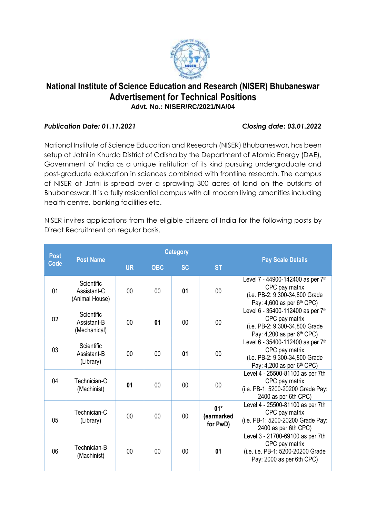

# **National Institute of Science Education and Research (NISER) Bhubaneswar Advertisement for Technical Positions Advt. No.: NISER/RC/2021/NA/04**

# *Publication Date: 01.11.2021 Closing date: 03.01.2022*

National Institute of Science Education and Research (NISER) Bhubaneswar, has been setup at Jatni in Khurda District of Odisha by the Department of Atomic Energy (DAE), Government of India as a unique institution of its kind pursuing undergraduate and post-graduate education in sciences combined with frontline research. The campus of NISER at Jatni is spread over a sprawling 300 acres of land on the outskirts of Bhubaneswar. It is a fully residential campus with all modern living amenities including health centre, banking facilities etc.

NISER invites applications from the eligible citizens of India for the following posts by Direct Recruitment on regular basis.

| <b>Post</b>    | <b>Post Name</b>                            |           |            | <b>Category</b> |                                 |                                                                                                                                 |
|----------------|---------------------------------------------|-----------|------------|-----------------|---------------------------------|---------------------------------------------------------------------------------------------------------------------------------|
| <b>Code</b>    |                                             | <b>UR</b> | <b>OBC</b> | <b>SC</b>       | <b>ST</b>                       | <b>Pay Scale Details</b>                                                                                                        |
| 01             | Scientific<br>Assistant-C<br>(Animal House) | 00        | 00         | 01              | 00                              | Level 7 - 44900-142400 as per 7th<br>CPC pay matrix<br>(i.e. PB-2: 9,300-34,800 Grade<br>Pay: 4,600 as per 6 <sup>th</sup> CPC) |
| 0 <sub>2</sub> | Scientific<br>Assistant-B<br>(Mechanical)   | $00 \,$   | 01         | 00              | 00                              | Level 6 - 35400-112400 as per 7th<br>CPC pay matrix<br>(i.e. PB-2: 9,300-34,800 Grade<br>Pay: 4,200 as per 6 <sup>th</sup> CPC) |
| 03             | Scientific<br>Assistant-B<br>(Library)      | 00        | 00         | 01              | 00                              | Level 6 - 35400-112400 as per 7th<br>CPC pay matrix<br>(i.e. PB-2: 9,300-34,800 Grade<br>Pay: $4,200$ as per $6th$ CPC)         |
| 04             | Technician-C<br>(Machinist)                 | 01        | 00         | 00              | 00                              | Level 4 - 25500-81100 as per 7th<br>CPC pay matrix<br>(i.e. PB-1: 5200-20200 Grade Pay:<br>2400 as per 6th CPC)                 |
| 05             | Technician-C<br>(Library)                   | 00        | 00         | 00              | $01*$<br>(earmarked<br>for PwD) | Level 4 - 25500-81100 as per 7th<br>CPC pay matrix<br>(i.e. PB-1: 5200-20200 Grade Pay:<br>2400 as per 6th CPC)                 |
| 06             | Technician-B<br>(Machinist)                 | 00        | 00         | 00              | 01                              | Level 3 - 21700-69100 as per 7th<br>CPC pay matrix<br>(i.e. i.e. PB-1: 5200-20200 Grade<br>Pay: 2000 as per 6th CPC)            |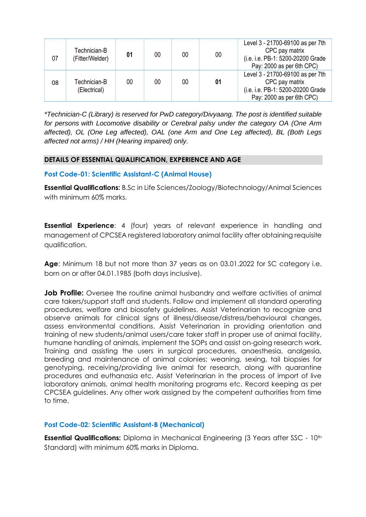| 07 | Technician-B<br>(Fitter/Welder) | 01 | 00 | 00 | 00 | Level 3 - 21700-69100 as per 7th<br>CPC pay matrix<br>(i.e. i.e. PB-1: 5200-20200 Grade<br>Pay: 2000 as per 6th CPC) |
|----|---------------------------------|----|----|----|----|----------------------------------------------------------------------------------------------------------------------|
| 08 | Technician-B<br>(Electrical)    | 00 | 00 | 00 | 01 | Level 3 - 21700-69100 as per 7th<br>CPC pay matrix<br>(i.e. i.e. PB-1: 5200-20200 Grade<br>Pay: 2000 as per 6th CPC) |

*\*Technician-C (Library) is reserved for PwD category/Divyaang. The post is identified suitable for persons with Locomotive disability or Cerebral palsy under the category OA (One Arm affected), OL (One Leg affected), OAL (one Arm and One Leg affected), BL (Both Legs affected not arms) / HH (Hearing impaired) only.*

### **DETAILS OF ESSENTIAL QUALIFICATION, EXPERIENCE AND AGE**

#### **Post Code-01: Scientific Assistant-C (Animal House)**

**Essential Qualifications:** B.Sc in Life Sciences/Zoology/Biotechnology/Animal Sciences with minimum 60% marks.

**Essential Experience**: 4 (four) years of relevant experience in handling and management of CPCSEA registered laboratory animal facility after obtaining requisite qualification.

**Age**: Minimum 18 but not more than 37 years as on 03.01.2022 for SC category i.e. born on or after 04.01.1985 (both days inclusive).

**Job Profile:** Oversee the routine animal husbandry and welfare activities of animal care takers/support staff and students. Follow and implement all standard operating procedures, welfare and biosafety guidelines. Assist Veterinarian to recognize and observe animals for clinical signs of illness/disease/distress/behavioural changes, assess environmental conditions. Assist Veterinarian in providing orientation and training of new students/animal users/care taker staff in proper use of animal facility, humane handling of animals, implement the SOPs and assist on-going research work. Training and assisting the users in surgical procedures, anaesthesia, analgesia, breeding and maintenance of animal colonies; weaning, sexing, tail biopsies for genotyping, receiving/providing live animal for research, along with quarantine procedures and euthanasia etc. Assist Veterinarian in the process of import of live laboratory animals, animal health monitoring programs etc. Record keeping as per CPCSEA guidelines. Any other work assigned by the competent authorities from time to time.

### **Post Code-02: Scientific Assistant-B (Mechanical)**

**Essential Qualifications:** Diploma in Mechanical Engineering (3 Years after SSC - 10<sup>th</sup> Standard) with minimum 60% marks in Diploma.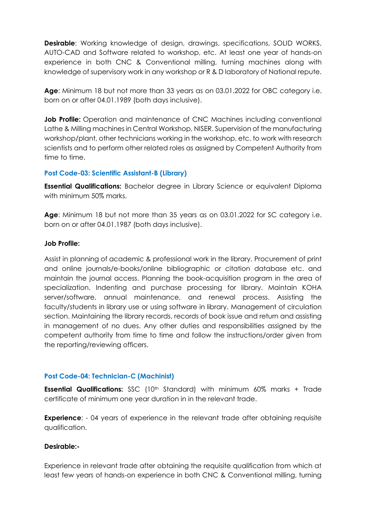**Desirable:** Working knowledge of design, drawings, specifications, SOLID WORKS, AUTO-CAD and Software related to workshop, etc. At least one year of hands-on experience in both CNC & Conventional milling, turning machines along with knowledge of supervisory work in any workshop or R & D laboratory of National repute.

**Age**: Minimum 18 but not more than 33 years as on 03.01.2022 for OBC category i.e. born on or after 04.01.1989 (both days inclusive).

**Job Profile:** Operation and maintenance of CNC Machines including conventional Lathe & Milling machines in Central Workshop, NISER. Supervision of the manufacturing workshop/plant, other technicians working in the workshop, etc. to work with research scientists and to perform other related roles as assigned by Competent Authority from time to time.

#### **Post Code-03: Scientific Assistant-B (Library)**

**Essential Qualifications:** Bachelor degree in Library Science or equivalent Diploma with minimum 50% marks.

**Age**: Minimum 18 but not more than 35 years as on 03.01.2022 for SC category i.e. born on or after 04.01.1987 (both days inclusive).

#### **Job Profile:**

Assist in planning of academic & professional work in the library. Procurement of print and online journals/e-books/online bibliographic or citation database etc. and maintain the journal access. Planning the book-acquisition program in the area of specialization. Indenting and purchase processing for library. Maintain KOHA server/software, annual maintenance, and renewal process. Assisting the faculty/students in library use or using software in library. Management of circulation section. Maintaining the library records, records of book issue and return and assisting in management of no dues. Any other duties and responsibilities assigned by the competent authority from time to time and follow the instructions/order given from the reporting/reviewing officers.

### **Post Code-04: Technician-C (Machinist)**

**Essential Qualifications:** SSC (10<sup>th</sup> Standard) with minimum 60% marks + Trade certificate of minimum one year duration in in the relevant trade.

**Experience:** - 04 years of experience in the relevant trade after obtaining requisite qualification.

### **Desirable:-**

Experience in relevant trade after obtaining the requisite qualification from which at least few years of hands-on experience in both CNC & Conventional milling, turning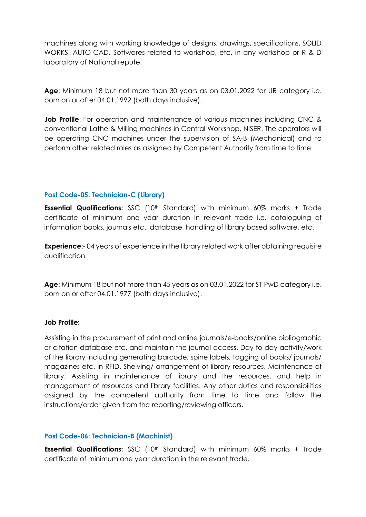machines along with working knowledge of designs, drawings, specifications, SOLID WORKS, AUTO-CAD, Softwares related to workshop, etc. in any workshop or R & D laboratory of National repute.

**Age**: Minimum 18 but not more than 30 years as on 03.01.2022 for UR category i.e. born on or after 04.01.1992 (both days inclusive).

**Job Profile**: For operation and maintenance of various machines including CNC & conventional Lathe & Milling machines in Central Workshop, NISER. The operators will be operating CNC machines under the supervision of SA-B (Mechanical) and to perform other related roles as assigned by Competent Authority from time to time.

### **Post Code-05: Technician-C (Library)**

**Essential Qualifications:** SSC (10<sup>th</sup> Standard) with minimum 60% marks + Trade certificate of minimum one year duration in relevant trade i.e. cataloguing of information books, journals etc., database, handling of library based software, etc.

**Experience**:- 04 years of experience in the library related work after obtaining requisite qualification.

**Age**: Minimum 18 but not more than 45 years as on 03.01.2022 for ST-PwD category i.e. born on or after 04.01.1977 (both days inclusive).

### **Job Profile:**

Assisting in the procurement of print and online journals/e-books/online bibliographic or citation database etc. and maintain the journal access. Day to day activity/work of the library including generating barcode, spine labels, tagging of books/ journals/ magazines etc. in RFID. Shelving/ arrangement of library resources. Maintenance of library. Assisting in maintenance of library and the resources, and help in management of resources and library facilities. Any other duties and responsibilities assigned by the competent authority from time to time and follow the instructions/order given from the reporting/reviewing officers.

### **Post Code-06: Technician-B (Machinist)**

**Essential Qualifications:** SSC (10<sup>th</sup> Standard) with minimum 60% marks + Trade certificate of minimum one year duration in the relevant trade.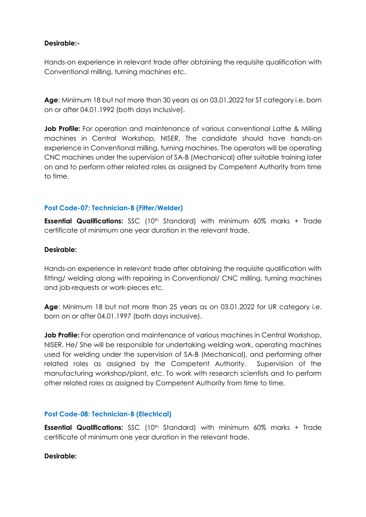## **Desirable:-**

Hands-on experience in relevant trade after obtaining the requisite qualification with Conventional milling, turning machines etc.

**Age**: Minimum 18 but not more than 30 years as on 03.01.2022 for ST category i.e. born on or after 04.01.1992 (both days inclusive).

**Job Profile:** For operation and maintenance of various conventional Lathe & Milling machines in Central Workshop, NISER. The candidate should have hands-on experience in Conventional milling, turning machines. The operators will be operating CNC machines under the supervision of SA-B (Mechanical) after suitable training later on and to perform other related roles as assigned by Competent Authority from time to time.

# **Post Code-07: Technician-B (Fitter/Welder)**

**Essential Qualifications:** SSC (10<sup>th</sup> Standard) with minimum 60% marks + Trade certificate of minimum one year duration in the relevant trade.

### **Desirable:**

Hands-on experience in relevant trade after obtaining the requisite qualification with fitting/ welding along with repairing in Conventional/ CNC milling, turning machines and job-requests or work-pieces etc.

**Age**: Minimum 18 but not more than 25 years as on 03.01.2022 for UR category i.e. born on or after 04.01.1997 (both days inclusive).

**Job Profile:** For operation and maintenance of various machines in Central Workshop, NISER. He/ She will be responsible for undertaking welding work, operating machines used for welding under the supervision of SA-B (Mechanical), and performing other related roles as assigned by the Competent Authority. Supervision of the manufacturing workshop/plant, etc. To work with research scientists and to perform other related roles as assigned by Competent Authority from time to time.

### **Post Code-08: Technician-B (Electrical)**

**Essential Qualifications:** SSC (10<sup>th</sup> Standard) with minimum 60% marks + Trade certificate of minimum one year duration in the relevant trade.

#### **Desirable:**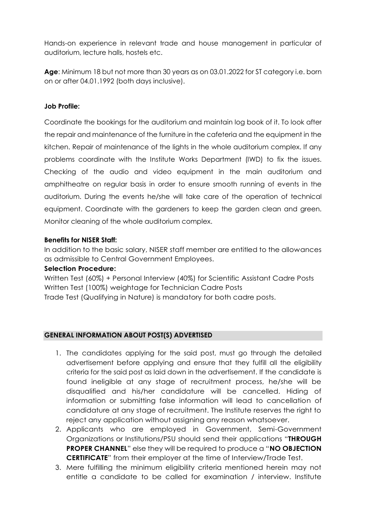Hands-on experience in relevant trade and house management in particular of auditorium, lecture halls, hostels etc.

**Age**: Minimum 18 but not more than 30 years as on 03.01.2022 for ST category i.e. born on or after 04.01.1992 (both days inclusive).

# **Job Profile:**

Coordinate the bookings for the auditorium and maintain log book of it. To look after the repair and maintenance of the furniture in the cafeteria and the equipment in the kitchen. Repair of maintenance of the lights in the whole auditorium complex. If any problems coordinate with the Institute Works Department (IWD) to fix the issues. Checking of the audio and video equipment in the main auditorium and amphitheatre on regular basis in order to ensure smooth running of events in the auditorium. During the events he/she will take care of the operation of technical equipment. Coordinate with the gardeners to keep the garden clean and green. Monitor cleaning of the whole auditorium complex.

### **Benefits for NISER Staff:**

In addition to the basic salary, NISER staff member are entitled to the allowances as admissible to Central Government Employees.

### **Selection Procedure:**

Written Test (60%) + Personal Interview (40%) for Scientific Assistant Cadre Posts Written Test (100%) weightage for Technician Cadre Posts Trade Test (Qualifying in Nature) is mandatory for both cadre posts.

### **GENERAL INFORMATION ABOUT POST(S) ADVERTISED**

- 1. The candidates applying for the said post, must go through the detailed advertisement before applying and ensure that they fulfill all the eligibility criteria for the said post as laid down in the advertisement. If the candidate is found ineligible at any stage of recruitment process, he/she will be disqualified and his/her candidature will be cancelled. Hiding of information or submitting false information will lead to cancellation of candidature at any stage of recruitment. The Institute reserves the right to reject any application without assigning any reason whatsoever.
- 2. Applicants who are employed in Government, Semi-Government Organizations or Institutions/PSU should send their applications "**THROUGH PROPER CHANNEL**" else they will be required to produce a "**NO OBJECTION CERTIFICATE**" from their employer at the time of Interview/Trade Test.
- 3. Mere fulfilling the minimum eligibility criteria mentioned herein may not entitle a candidate to be called for examination / interview. Institute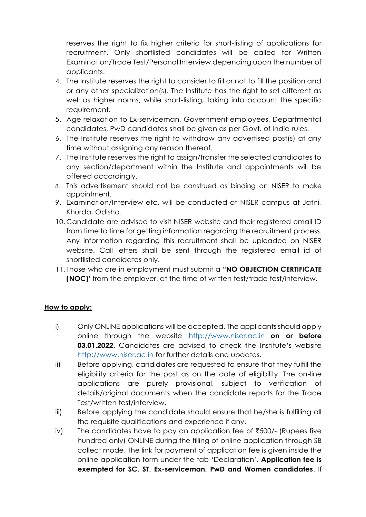reserves the right to fix higher criteria for short-listing of applications for recruitment. Only shortlisted candidates will be called for Written Examination/Trade Test/Personal Interview depending upon the number of applicants.

- 4. The Institute reserves the right to consider to fill or not to fill the position and or any other specialization(s). The Institute has the right to set different as well as higher norms, while short-listing, taking into account the specific requirement.
- 5. Age relaxation to Ex-serviceman, Government employees, Departmental candidates, PwD candidates shall be given as per Govt. of India rules.
- 6. The Institute reserves the right to withdraw any advertised post(s) at any time without assigning any reason thereof.
- 7. The Institute reserves the right to assign/transfer the selected candidates to any section/department within the Institute and appointments will be offered accordingly.
- 8. This advertisement should not be construed as binding on NISER to make appointment.
- 9. Examination/Interview etc. will be conducted at NISER campus at Jatni, Khurda, Odisha.
- 10. Candidate are advised to visit NISER website and their registered email ID from time to time for getting information regarding the recruitment process. Any information regarding this recruitment shall be uploaded on NISER website. Call letters shall be sent through the registered email id of shortlisted candidates only.
- 11. Those who are in employment must submit a **"NO OBJECTION CERTIFICATE (NOC)'** from the employer, at the time of written test/trade test/interview.

# **How to apply:**

- i) Only ONLINE applications will be accepted. The applicants should apply online through the website [http://www.niser.ac.in](http://www.niser.ac.in/) **on or before 03.01.2022.** Candidates are advised to check the Institute's website [http://www.niser.ac.in](http://www.niser.ac.in/) for further details and updates.
- ii) Before applying, candidates are requested to ensure that they fulfill the eligibility criteria for the post as on the date of eligibility. The on-line applications are purely provisional, subject to verification of details/original documents when the candidate reports for the Trade Test/written test/interview.
- iii) Before applying the candidate should ensure that he/she is fulfilling all the requisite qualifications and experience if any.
- iv) The candidates have to pay an application fee of ₹500/- (Rupees five hundred only) ONLINE during the filling of online application through SB collect mode. The link for payment of application fee is given inside the online application form under the tab 'Declaration'. **Application fee is exempted for SC, ST, Ex-serviceman, PwD and Women candidates**. If